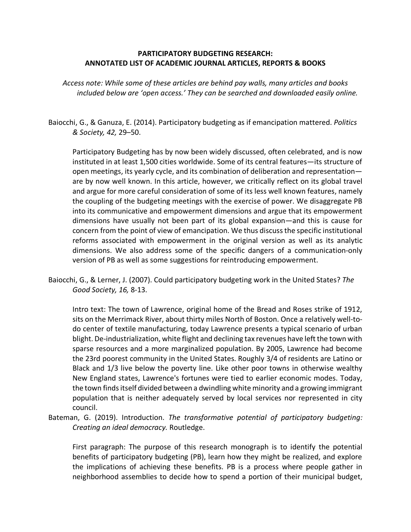## **PARTICIPATORY BUDGETING RESEARCH: ANNOTATED LIST OF ACADEMIC JOURNAL ARTICLES, REPORTS & BOOKS**

*Access note: While some of these articles are behind pay walls, many articles and books included below are 'open access.' They can be searched and downloaded easily online.* 

Baiocchi, G., & Ganuza, E. (2014). Participatory budgeting as if emancipation mattered. *Politics & Society, 42,* 29–50.

Participatory Budgeting has by now been widely discussed, often celebrated, and is now instituted in at least 1,500 cities worldwide. Some of its central features—its structure of open meetings, its yearly cycle, and its combination of deliberation and representation are by now well known. In this article, however, we critically reflect on its global travel and argue for more careful consideration of some of its less well known features, namely the coupling of the budgeting meetings with the exercise of power. We disaggregate PB into its communicative and empowerment dimensions and argue that its empowerment dimensions have usually not been part of its global expansion—and this is cause for concern from the point of view of emancipation. We thus discuss the specific institutional reforms associated with empowerment in the original version as well as its analytic dimensions. We also address some of the specific dangers of a communication-only version of PB as well as some suggestions for reintroducing empowerment.

Baiocchi, G., & Lerner, J. (2007). Could participatory budgeting work in the United States? *The Good Society, 16,* 8-13.

Intro text: The town of Lawrence, original home of the Bread and Roses strike of 1912, sits on the Merrimack River, about thirty miles North of Boston. Once a relatively well-todo center of textile manufacturing, today Lawrence presents a typical scenario of urban blight. De-industrialization, white flight and declining tax revenues have left the town with sparse resources and a more marginalized population. By 2005, Lawrence had become the 23rd poorest community in the United States. Roughly 3/4 of residents are Latino or Black and 1/3 live below the poverty line. Like other poor towns in otherwise wealthy New England states, Lawrence's fortunes were tied to earlier economic modes. Today, the town finds itself divided between a dwindling white minority and a growing immigrant population that is neither adequately served by local services nor represented in city council.

Bateman, G. (2019). Introduction. *The transformative potential of participatory budgeting: Creating an ideal democracy.* Routledge.

First paragraph: The purpose of this research monograph is to identify the potential benefits of participatory budgeting (PB), learn how they might be realized, and explore the implications of achieving these benefits. PB is a process where people gather in neighborhood assemblies to decide how to spend a portion of their municipal budget,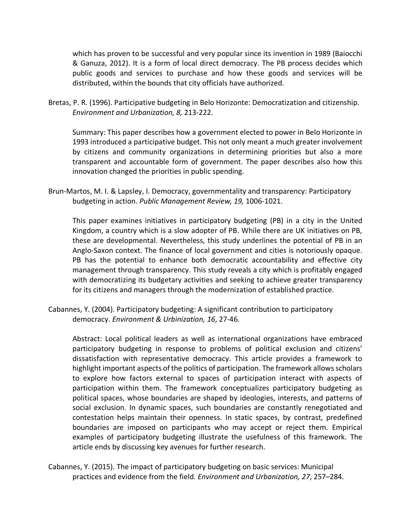which has proven to be successful and very popular since its invention in 1989 (Baiocchi & Ganuza, 2012). It is a form of local direct democracy. The PB process decides which public goods and services to purchase and how these goods and services will be distributed, within the bounds that city officials have authorized.

Bretas, P. R. (1996). Participative budgeting in Belo Horizonte: Democratization and citizenship. *Environment and Urbanization, 8,* 213-222.

Summary: This paper describes how a government elected to power in Belo Horizonte in 1993 introduced a participative budget. This not only meant a much greater involvement by citizens and community organizations in determining priorities but also a more transparent and accountable form of government. The paper describes also how this innovation changed the priorities in public spending.

Brun-Martos, M. I. & Lapsley, I. Democracy, governmentality and transparency: Participatory budgeting in action. *Public Management Review, 19,* 1006-1021.

This paper examines initiatives in participatory budgeting (PB) in a city in the United Kingdom, a country which is a slow adopter of PB. While there are UK initiatives on PB, these are developmental. Nevertheless, this study underlines the potential of PB in an Anglo-Saxon context. The finance of local government and cities is notoriously opaque. PB has the potential to enhance both democratic accountability and effective city management through transparency. This study reveals a city which is profitably engaged with democratizing its budgetary activities and seeking to achieve greater transparency for its citizens and managers through the modernization of established practice.

Cabannes, Y. (2004). Participatory budgeting: A significant contribution to participatory democracy. *Environment & Urbinization, 16*, 27-46.

Abstract: Local political leaders as well as international organizations have embraced participatory budgeting in response to problems of political exclusion and citizens' dissatisfaction with representative democracy. This article provides a framework to highlight important aspects of the politics of participation. The framework allows scholars to explore how factors external to spaces of participation interact with aspects of participation within them. The framework conceptualizes participatory budgeting as political spaces, whose boundaries are shaped by ideologies, interests, and patterns of social exclusion. In dynamic spaces, such boundaries are constantly renegotiated and contestation helps maintain their openness. In static spaces, by contrast, predefined boundaries are imposed on participants who may accept or reject them. Empirical examples of participatory budgeting illustrate the usefulness of this framework. The article ends by discussing key avenues for further research.

Cabannes, Y. (2015). The impact of participatory budgeting on basic services: Municipal practices and evidence from the field*. Environment and Urbanization, 27*, 257–284.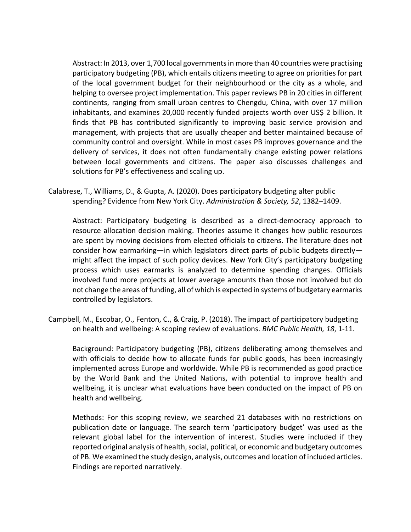Abstract: In 2013, over 1,700 local governments in more than 40 countries were practising participatory budgeting (PB), which entails citizens meeting to agree on priorities for part of the local government budget for their neighbourhood or the city as a whole, and helping to oversee project implementation. This paper reviews PB in 20 cities in different continents, ranging from small urban centres to Chengdu, China, with over 17 million inhabitants, and examines 20,000 recently funded projects worth over US\$ 2 billion. It finds that PB has contributed significantly to improving basic service provision and management, with projects that are usually cheaper and better maintained because of community control and oversight. While in most cases PB improves governance and the delivery of services, it does not often fundamentally change existing power relations between local governments and citizens. The paper also discusses challenges and solutions for PB's effectiveness and scaling up.

Calabrese, T., Williams, D., & Gupta, A. (2020). Does participatory budgeting alter public spending? Evidence from New York City. *Administration & Society, 52*, 1382–1409.

Abstract: Participatory budgeting is described as a direct-democracy approach to resource allocation decision making. Theories assume it changes how public resources are spent by moving decisions from elected officials to citizens. The literature does not consider how earmarking—in which legislators direct parts of public budgets directly might affect the impact of such policy devices. New York City's participatory budgeting process which uses earmarks is analyzed to determine spending changes. Officials involved fund more projects at lower average amounts than those not involved but do not change the areas of funding, all of which is expected in systems of budgetary earmarks controlled by legislators.

Campbell, M., Escobar, O., Fenton, C., & Craig, P. (2018). The impact of participatory budgeting on health and wellbeing: A scoping review of evaluations. *BMC Public Health, 18*, 1-11.

Background: Participatory budgeting (PB), citizens deliberating among themselves and with officials to decide how to allocate funds for public goods, has been increasingly implemented across Europe and worldwide. While PB is recommended as good practice by the World Bank and the United Nations, with potential to improve health and wellbeing, it is unclear what evaluations have been conducted on the impact of PB on health and wellbeing.

Methods: For this scoping review, we searched 21 databases with no restrictions on publication date or language. The search term 'participatory budget' was used as the relevant global label for the intervention of interest. Studies were included if they reported original analysis of health, social, political, or economic and budgetary outcomes of PB. We examined the study design, analysis, outcomes and location of included articles. Findings are reported narratively.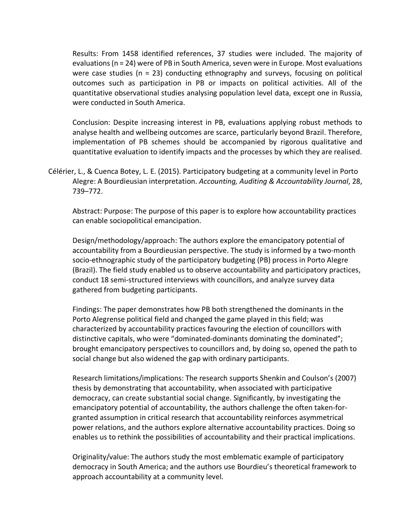Results: From 1458 identified references, 37 studies were included. The majority of evaluations ( $n = 24$ ) were of PB in South America, seven were in Europe. Most evaluations were case studies ( $n = 23$ ) conducting ethnography and surveys, focusing on political outcomes such as participation in PB or impacts on political activities. All of the quantitative observational studies analysing population level data, except one in Russia, were conducted in South America.

Conclusion: Despite increasing interest in PB, evaluations applying robust methods to analyse health and wellbeing outcomes are scarce, particularly beyond Brazil. Therefore, implementation of PB schemes should be accompanied by rigorous qualitative and quantitative evaluation to identify impacts and the processes by which they are realised.

Célérier, L., & Cuenca Botey, L. E. (2015). Participatory budgeting at a community level in Porto Alegre: A Bourdieusian interpretation. *Accounting, Auditing & Accountability Journal*, 28, 739–772.

Abstract: Purpose: The purpose of this paper is to explore how accountability practices can enable sociopolitical emancipation.

Design/methodology/approach: The authors explore the emancipatory potential of accountability from a Bourdieusian perspective. The study is informed by a two-month socio-ethnographic study of the participatory budgeting (PB) process in Porto Alegre (Brazil). The field study enabled us to observe accountability and participatory practices, conduct 18 semi-structured interviews with councillors, and analyze survey data gathered from budgeting participants.

Findings: The paper demonstrates how PB both strengthened the dominants in the Porto Alegrense political field and changed the game played in this field; was characterized by accountability practices favouring the election of councillors with distinctive capitals, who were "dominated-dominants dominating the dominated"; brought emancipatory perspectives to councillors and, by doing so, opened the path to social change but also widened the gap with ordinary participants.

Research limitations/implications: The research supports Shenkin and Coulson's (2007) thesis by demonstrating that accountability, when associated with participative democracy, can create substantial social change. Significantly, by investigating the emancipatory potential of accountability, the authors challenge the often taken-forgranted assumption in critical research that accountability reinforces asymmetrical power relations, and the authors explore alternative accountability practices. Doing so enables us to rethink the possibilities of accountability and their practical implications.

Originality/value: The authors study the most emblematic example of participatory democracy in South America; and the authors use Bourdieu's theoretical framework to approach accountability at a community level.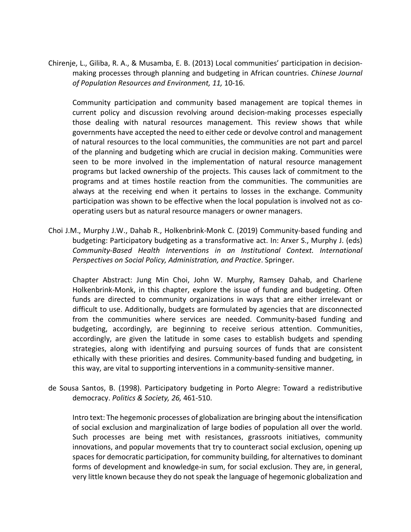Chirenje, L., Giliba, R. A., & Musamba, E. B. (2013) Local communities' participation in decisionmaking processes through planning and budgeting in African countries. *Chinese Journal of Population Resources and Environment, 11,* 10-16.

Community participation and community based management are topical themes in current policy and discussion revolving around decision-making processes especially those dealing with natural resources management. This review shows that while governments have accepted the need to either cede or devolve control and management of natural resources to the local communities, the communities are not part and parcel of the planning and budgeting which are crucial in decision making. Communities were seen to be more involved in the implementation of natural resource management programs but lacked ownership of the projects. This causes lack of commitment to the programs and at times hostile reaction from the communities. The communities are always at the receiving end when it pertains to losses in the exchange. Community participation was shown to be effective when the local population is involved not as cooperating users but as natural resource managers or owner managers.

Choi J.M., Murphy J.W., Dahab R., Holkenbrink-Monk C. (2019) Community-based funding and budgeting: Participatory budgeting as a transformative act. In: Arxer S., Murphy J. (eds) *Community-Based Health Interventions in an Institutional Context. International Perspectives on Social Policy, Administration, and Practice*. Springer.

Chapter Abstract: Jung Min Choi, John W. Murphy, Ramsey Dahab, and Charlene Holkenbrink-Monk, in this chapter, explore the issue of funding and budgeting. Often funds are directed to community organizations in ways that are either irrelevant or difficult to use. Additionally, budgets are formulated by agencies that are disconnected from the communities where services are needed. Community-based funding and budgeting, accordingly, are beginning to receive serious attention. Communities, accordingly, are given the latitude in some cases to establish budgets and spending strategies, along with identifying and pursuing sources of funds that are consistent ethically with these priorities and desires. Community-based funding and budgeting, in this way, are vital to supporting interventions in a community-sensitive manner.

de Sousa Santos, B. (1998). Participatory budgeting in Porto Alegre: Toward a redistributive democracy. *Politics & Society, 26,* 461-510.

Intro text: The hegemonic processes of globalization are bringing about the intensification of social exclusion and marginalization of large bodies of population all over the world. Such processes are being met with resistances, grassroots initiatives, community innovations, and popular movements that try to counteract social exclusion, opening up spaces for democratic participation, for community building, for alternatives to dominant forms of development and knowledge-in sum, for social exclusion. They are, in general, very little known because they do not speak the language of hegemonic globalization and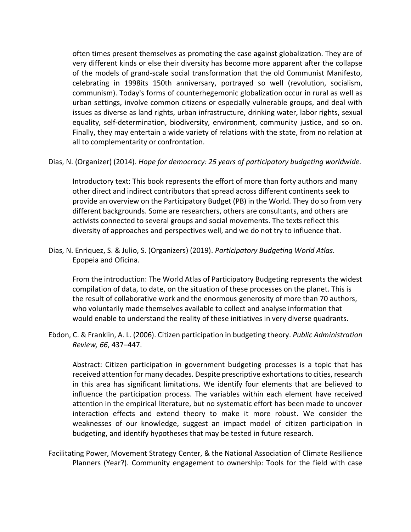often times present themselves as promoting the case against globalization. They are of very different kinds or else their diversity has become more apparent after the collapse of the models of grand-scale social transformation that the old Communist Manifesto, celebrating in 1998its 150th anniversary, portrayed so well (revolution, socialism, communism). Today's forms of counterhegemonic globalization occur in rural as well as urban settings, involve common citizens or especially vulnerable groups, and deal with issues as diverse as land rights, urban infrastructure, drinking water, labor rights, sexual equality, self-determination, biodiversity, environment, community justice, and so on. Finally, they may entertain a wide variety of relations with the state, from no relation at all to complementarity or confrontation.

Dias, N. (Organizer) (2014). *Hope for democracy: 25 years of participatory budgeting worldwide.* 

Introductory text: This book represents the effort of more than forty authors and many other direct and indirect contributors that spread across different continents seek to provide an overview on the Participatory Budget (PB) in the World. They do so from very different backgrounds. Some are researchers, others are consultants, and others are activists connected to several groups and social movements. The texts reflect this diversity of approaches and perspectives well, and we do not try to influence that.

Dias, N. Enriquez, S. & Julio, S. (Organizers) (2019). *Participatory Budgeting World Atlas*. Epopeia and Oficina.

From the introduction: The World Atlas of Participatory Budgeting represents the widest compilation of data, to date, on the situation of these processes on the planet. This is the result of collaborative work and the enormous generosity of more than 70 authors, who voluntarily made themselves available to collect and analyse information that would enable to understand the reality of these initiatives in very diverse quadrants.

Ebdon, C. & Franklin, A. L. (2006). Citizen participation in budgeting theory. *Public Administration Review, 66*, 437–447.

Abstract: Citizen participation in government budgeting processes is a topic that has received attention for many decades. Despite prescriptive exhortations to cities, research in this area has significant limitations. We identify four elements that are believed to influence the participation process. The variables within each element have received attention in the empirical literature, but no systematic effort has been made to uncover interaction effects and extend theory to make it more robust. We consider the weaknesses of our knowledge, suggest an impact model of citizen participation in budgeting, and identify hypotheses that may be tested in future research.

Facilitating Power, Movement Strategy Center, & the National Association of Climate Resilience Planners (Year?). Community engagement to ownership: Tools for the field with case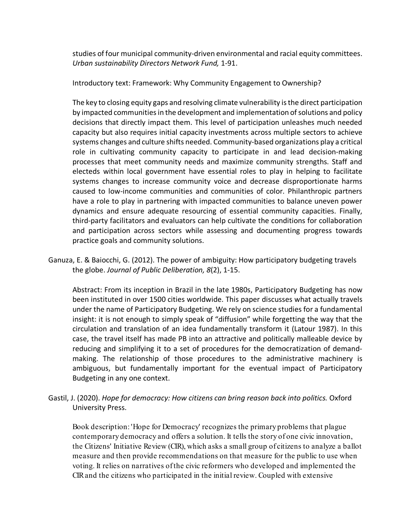studies of four municipal community-driven environmental and racial equity committees. *Urban sustainability Directors Network Fund,* 1-91.

Introductory text: Framework: Why Community Engagement to Ownership?

The key to closing equity gaps and resolving climate vulnerability is the direct participation by impacted communities in the development and implementation of solutions and policy decisions that directly impact them. This level of participation unleashes much needed capacity but also requires initial capacity investments across multiple sectors to achieve systems changes and culture shifts needed. Community-based organizations play a critical role in cultivating community capacity to participate in and lead decision-making processes that meet community needs and maximize community strengths. Staff and electeds within local government have essential roles to play in helping to facilitate systems changes to increase community voice and decrease disproportionate harms caused to low-income communities and communities of color. Philanthropic partners have a role to play in partnering with impacted communities to balance uneven power dynamics and ensure adequate resourcing of essential community capacities. Finally, third-party facilitators and evaluators can help cultivate the conditions for collaboration and participation across sectors while assessing and documenting progress towards practice goals and community solutions.

Ganuza, E. & Baiocchi, G. (2012). The power of ambiguity: How participatory budgeting travels the globe. *Journal of Public Deliberation, 8*(2), 1-15.

Abstract: From its inception in Brazil in the late 1980s, Participatory Budgeting has now been instituted in over 1500 cities worldwide. This paper discusses what actually travels under the name of Participatory Budgeting. We rely on science studies for a fundamental insight: it is not enough to simply speak of "diffusion" while forgetting the way that the circulation and translation of an idea fundamentally transform it (Latour 1987). In this case, the travel itself has made PB into an attractive and politically malleable device by reducing and simplifying it to a set of procedures for the democratization of demandmaking. The relationship of those procedures to the administrative machinery is ambiguous, but fundamentally important for the eventual impact of Participatory Budgeting in any one context.

Gastil, J. (2020). *Hope for democracy: How citizens can bring reason back into politics.* Oxford University Press.

Book description: 'Hope for Democracy' recognizes the primary problems that plague contemporary democracy and offers a solution. It tells the story of one civic innovation, the Citizens' Initiative Review (CIR), which asks a small group of citizens to analyze a ballot measure and then provide recommendations on that measure for the public to use when voting. It relies on narratives of the civic reformers who developed and implemented the CIR and the citizens who participated in the initial review. Coupled with extensive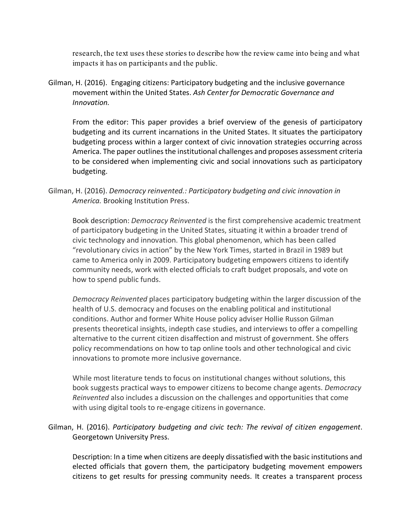research, the text uses these stories to describe how the review came into being and what impacts it has on participants and the public.

Gilman, H. (2016). Engaging citizens: Participatory budgeting and the inclusive governance movement within the United States. *Ash Center for Democratic Governance and Innovation.*

From the editor: This paper provides a brief overview of the genesis of participatory budgeting and its current incarnations in the United States. It situates the participatory budgeting process within a larger context of civic innovation strategies occurring across America. The paper outlines the institutional challenges and proposes assessment criteria to be considered when implementing civic and social innovations such as participatory budgeting.

Gilman, H. (2016). *Democracy reinvented.: Participatory budgeting and civic innovation in America.* Brooking Institution Press.

Book description: *Democracy Reinvented* is the first comprehensive academic treatment of participatory budgeting in the United States, situating it within a broader trend of civic technology and innovation. This global phenomenon, which has been called "revolutionary civics in action" by the New York Times, started in Brazil in 1989 but came to America only in 2009. Participatory budgeting empowers citizens to identify community needs, work with elected officials to craft budget proposals, and vote on how to spend public funds.

*Democracy Reinvented* places participatory budgeting within the larger discussion of the health of U.S. democracy and focuses on the enabling political and institutional conditions. Author and former White House policy adviser Hollie Russon Gilman presents theoretical insights, indepth case studies, and interviews to offer a compelling alternative to the current citizen disaffection and mistrust of government. She offers policy recommendations on how to tap online tools and other technological and civic innovations to promote more inclusive governance.

While most literature tends to focus on institutional changes without solutions, this book suggests practical ways to empower citizens to become change agents. *Democracy Reinvented* also includes a discussion on the challenges and opportunities that come with using digital tools to re-engage citizens in governance.

## Gilman, H. (2016). *Participatory budgeting and civic tech: The revival of citizen engagement*. Georgetown University Press.

Description: In a time when citizens are deeply dissatisfied with the basic institutions and elected officials that govern them, the participatory budgeting movement empowers citizens to get results for pressing community needs. It creates a transparent process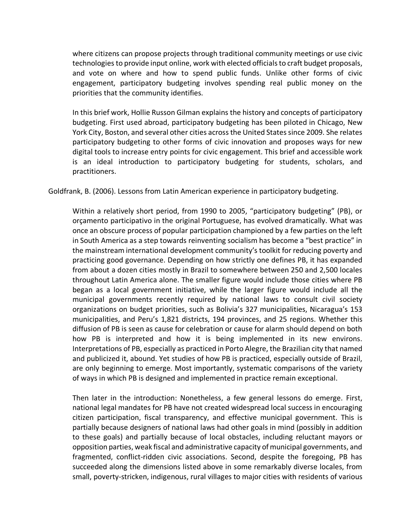where citizens can propose projects through traditional community meetings or use civic technologies to provide input online, work with elected officials to craft budget proposals, and vote on where and how to spend public funds. Unlike other forms of civic engagement, participatory budgeting involves spending real public money on the priorities that the community identifies.

In this brief work, Hollie Russon Gilman explains the history and concepts of participatory budgeting. First used abroad, participatory budgeting has been piloted in Chicago, New York City, Boston, and several other cities across the United States since 2009. She relates participatory budgeting to other forms of civic innovation and proposes ways for new digital tools to increase entry points for civic engagement. This brief and accessible work is an ideal introduction to participatory budgeting for students, scholars, and practitioners.

Goldfrank, B. (2006). Lessons from Latin American experience in participatory budgeting.

Within a relatively short period, from 1990 to 2005, "participatory budgeting" (PB), or orçamento participativo in the original Portuguese, has evolved dramatically. What was once an obscure process of popular participation championed by a few parties on the left in South America as a step towards reinventing socialism has become a "best practice" in the mainstream international development community's toolkit for reducing poverty and practicing good governance. Depending on how strictly one defines PB, it has expanded from about a dozen cities mostly in Brazil to somewhere between 250 and 2,500 locales throughout Latin America alone. The smaller figure would include those cities where PB began as a local government initiative, while the larger figure would include all the municipal governments recently required by national laws to consult civil society organizations on budget priorities, such as Bolivia's 327 municipalities, Nicaragua's 153 municipalities, and Peru's 1,821 districts, 194 provinces, and 25 regions. Whether this diffusion of PB is seen as cause for celebration or cause for alarm should depend on both how PB is interpreted and how it is being implemented in its new environs. Interpretations of PB, especially as practiced in Porto Alegre, the Brazilian city that named and publicized it, abound. Yet studies of how PB is practiced, especially outside of Brazil, are only beginning to emerge. Most importantly, systematic comparisons of the variety of ways in which PB is designed and implemented in practice remain exceptional.

Then later in the introduction: Nonetheless, a few general lessons do emerge. First, national legal mandates for PB have not created widespread local success in encouraging citizen participation, fiscal transparency, and effective municipal government. This is partially because designers of national laws had other goals in mind (possibly in addition to these goals) and partially because of local obstacles, including reluctant mayors or opposition parties, weak fiscal and administrative capacity of municipal governments, and fragmented, conflict-ridden civic associations. Second, despite the foregoing, PB has succeeded along the dimensions listed above in some remarkably diverse locales, from small, poverty-stricken, indigenous, rural villages to major cities with residents of various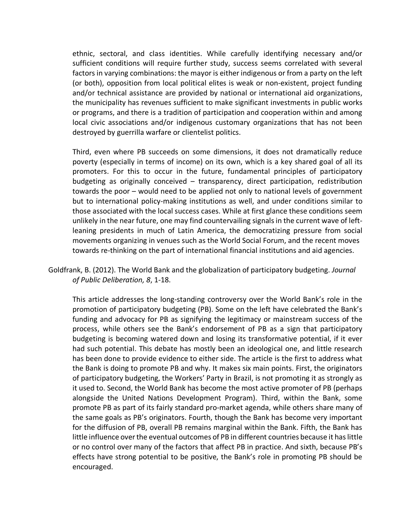ethnic, sectoral, and class identities. While carefully identifying necessary and/or sufficient conditions will require further study, success seems correlated with several factors in varying combinations: the mayor is either indigenous or from a party on the left (or both), opposition from local political elites is weak or non-existent, project funding and/or technical assistance are provided by national or international aid organizations, the municipality has revenues sufficient to make significant investments in public works or programs, and there is a tradition of participation and cooperation within and among local civic associations and/or indigenous customary organizations that has not been destroyed by guerrilla warfare or clientelist politics.

Third, even where PB succeeds on some dimensions, it does not dramatically reduce poverty (especially in terms of income) on its own, which is a key shared goal of all its promoters. For this to occur in the future, fundamental principles of participatory budgeting as originally conceived – transparency, direct participation, redistribution towards the poor – would need to be applied not only to national levels of government but to international policy-making institutions as well, and under conditions similar to those associated with the local success cases. While at first glance these conditions seem unlikely in the near future, one may find countervailing signals in the current wave of leftleaning presidents in much of Latin America, the democratizing pressure from social movements organizing in venues such as the World Social Forum, and the recent moves towards re-thinking on the part of international financial institutions and aid agencies.

Goldfrank, B. (2012). The World Bank and the globalization of participatory budgeting. *Journal of Public Deliberation, 8*, 1-18.

This article addresses the long-standing controversy over the World Bank's role in the promotion of participatory budgeting (PB). Some on the left have celebrated the Bank's funding and advocacy for PB as signifying the legitimacy or mainstream success of the process, while others see the Bank's endorsement of PB as a sign that participatory budgeting is becoming watered down and losing its transformative potential, if it ever had such potential. This debate has mostly been an ideological one, and little research has been done to provide evidence to either side. The article is the first to address what the Bank is doing to promote PB and why. It makes six main points. First, the originators of participatory budgeting, the Workers' Party in Brazil, is not promoting it as strongly as it used to. Second, the World Bank has become the most active promoter of PB (perhaps alongside the United Nations Development Program). Third, within the Bank, some promote PB as part of its fairly standard pro-market agenda, while others share many of the same goals as PB's originators. Fourth, though the Bank has become very important for the diffusion of PB, overall PB remains marginal within the Bank. Fifth, the Bank has little influence over the eventual outcomes of PB in different countries because it has little or no control over many of the factors that affect PB in practice. And sixth, because PB's effects have strong potential to be positive, the Bank's role in promoting PB should be encouraged.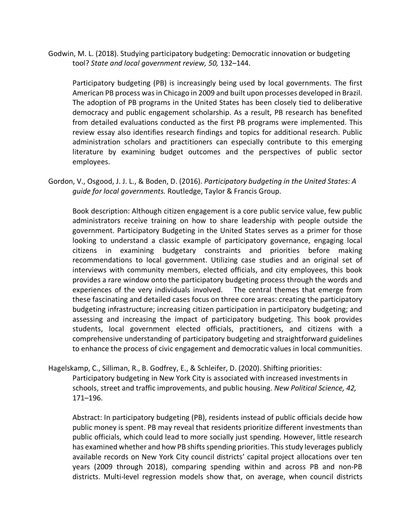Godwin, M. L. (2018). Studying participatory budgeting: Democratic innovation or budgeting tool? *State and local government review, 50,* 132–144.

Participatory budgeting (PB) is increasingly being used by local governments. The first American PB process was in Chicago in 2009 and built upon processes developed in Brazil. The adoption of PB programs in the United States has been closely tied to deliberative democracy and public engagement scholarship. As a result, PB research has benefited from detailed evaluations conducted as the first PB programs were implemented. This review essay also identifies research findings and topics for additional research. Public administration scholars and practitioners can especially contribute to this emerging literature by examining budget outcomes and the perspectives of public sector employees.

Gordon, V., Osgood, J. J. L., & Boden, D. (2016). *Participatory budgeting in the United States: A guide for local governments.* Routledge, Taylor & Francis Group.

Book description: Although citizen engagement is a core public service value, few public administrators receive training on how to share leadership with people outside the government. Participatory Budgeting in the United States serves as a primer for those looking to understand a classic example of participatory governance, engaging local citizens in examining budgetary constraints and priorities before making recommendations to local government. Utilizing case studies and an original set of interviews with community members, elected officials, and city employees, this book provides a rare window onto the participatory budgeting process through the words and experiences of the very individuals involved. The central themes that emerge from these fascinating and detailed cases focus on three core areas: creating the participatory budgeting infrastructure; increasing citizen participation in participatory budgeting; and assessing and increasing the impact of participatory budgeting. This book provides students, local government elected officials, practitioners, and citizens with a comprehensive understanding of participatory budgeting and straightforward guidelines to enhance the process of civic engagement and democratic values in local communities.

Hagelskamp, C., Silliman, R., B. Godfrey, E., & Schleifer, D. (2020). Shifting priorities: Participatory budgeting in New York City is associated with increased investments in schools, street and traffic improvements, and public housing. *New Political Science, 42,* 171–196.

Abstract: In participatory budgeting (PB), residents instead of public officials decide how public money is spent. PB may reveal that residents prioritize different investments than public officials, which could lead to more socially just spending. However, little research has examined whether and how PB shifts spending priorities. This study leverages publicly available records on New York City council districts' capital project allocations over ten years (2009 through 2018), comparing spending within and across PB and non-PB districts. Multi-level regression models show that, on average, when council districts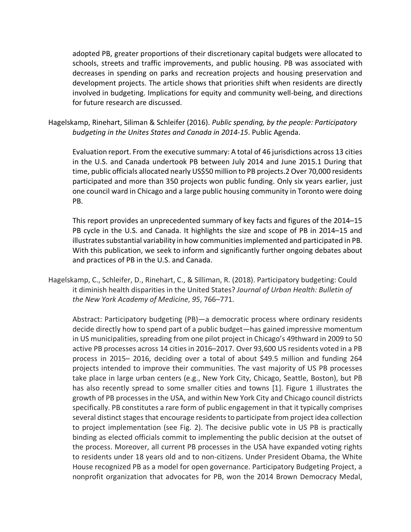adopted PB, greater proportions of their discretionary capital budgets were allocated to schools, streets and traffic improvements, and public housing. PB was associated with decreases in spending on parks and recreation projects and housing preservation and development projects. The article shows that priorities shift when residents are directly involved in budgeting. Implications for equity and community well-being, and directions for future research are discussed.

Hagelskamp, Rinehart, Siliman & Schleifer (2016). *Public spending, by the people: Participatory budgeting in the Unites States and Canada in 2014-15*. Public Agenda.

Evaluation report. From the executive summary: A total of 46 jurisdictions across 13 cities in the U.S. and Canada undertook PB between July 2014 and June 2015.1 During that time, public officials allocated nearly US\$50 million to PB projects.2 Over 70,000 residents participated and more than 350 projects won public funding. Only six years earlier, just one council ward in Chicago and a large public housing community in Toronto were doing PB.

This report provides an unprecedented summary of key facts and figures of the 2014–15 PB cycle in the U.S. and Canada. It highlights the size and scope of PB in 2014–15 and illustrates substantial variability in how communities implemented and participated in PB. With this publication, we seek to inform and significantly further ongoing debates about and practices of PB in the U.S. and Canada.

Hagelskamp, C., Schleifer, D., Rinehart, C., & Silliman, R. (2018). Participatory budgeting: Could it diminish health disparities in the United States? *Journal of Urban Health: Bulletin of the New York Academy of Medicine*, *95*, 766–771.

Abstract: Participatory budgeting (PB)—a democratic process where ordinary residents decide directly how to spend part of a public budget—has gained impressive momentum in US municipalities, spreading from one pilot project in Chicago's 49thward in 2009 to 50 active PB processes across 14 cities in 2016–2017. Over 93,600 US residents voted in a PB process in 2015– 2016, deciding over a total of about \$49.5 million and funding 264 projects intended to improve their communities. The vast majority of US PB processes take place in large urban centers (e.g., New York City, Chicago, Seattle, Boston), but PB has also recently spread to some smaller cities and towns [1]. Figure 1 illustrates the growth of PB processes in the USA, and within New York City and Chicago council districts specifically. PB constitutes a rare form of public engagement in that it typically comprises several distinct stages that encourage residents to participate from project idea collection to project implementation (see Fig. 2). The decisive public vote in US PB is practically binding as elected officials commit to implementing the public decision at the outset of the process. Moreover, all current PB processes in the USA have expanded voting rights to residents under 18 years old and to non-citizens. Under President Obama, the White House recognized PB as a model for open governance. Participatory Budgeting Project, a nonprofit organization that advocates for PB, won the 2014 Brown Democracy Medal,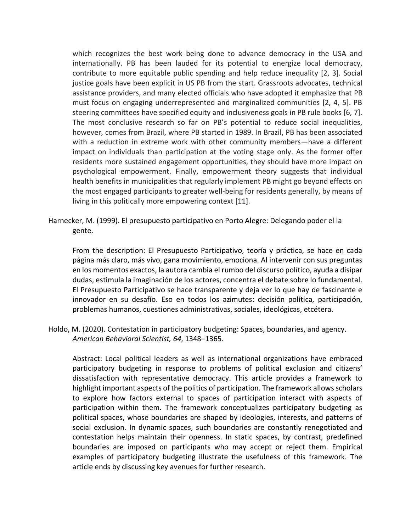which recognizes the best work being done to advance democracy in the USA and internationally. PB has been lauded for its potential to energize local democracy, contribute to more equitable public spending and help reduce inequality [2, 3]. Social justice goals have been explicit in US PB from the start. Grassroots advocates, technical assistance providers, and many elected officials who have adopted it emphasize that PB must focus on engaging underrepresented and marginalized communities [2, 4, 5]. PB steering committees have specified equity and inclusiveness goals in PB rule books [6, 7]. The most conclusive research so far on PB's potential to reduce social inequalities, however, comes from Brazil, where PB started in 1989. In Brazil, PB has been associated with a reduction in extreme work with other community members—have a different impact on individuals than participation at the voting stage only. As the former offer residents more sustained engagement opportunities, they should have more impact on psychological empowerment. Finally, empowerment theory suggests that individual health benefits in municipalities that regularly implement PB might go beyond effects on the most engaged participants to greater well-being for residents generally, by means of living in this politically more empowering context [11].

Harnecker, M. (1999). El presupuesto participativo en Porto Alegre: Delegando poder el la gente.

From the description: El Presupuesto Participativo, teoría y práctica, se hace en cada página más claro, más vivo, gana movimiento, emociona. Al intervenir con sus preguntas en los momentos exactos, la autora cambia el rumbo del discurso político, ayuda a disipar dudas, estimula la imaginación de los actores, concentra el debate sobre lo fundamental. El Presupuesto Participativo se hace transparente y deja ver lo que hay de fascinante e innovador en su desafío. Eso en todos los azimutes: decisión política, participación, problemas humanos, cuestiones administrativas, sociales, ideológicas, etcétera.

Holdo, M. (2020). Contestation in participatory budgeting: Spaces, boundaries, and agency. *American Behavioral Scientist, 64*, 1348–1365.

Abstract: Local political leaders as well as international organizations have embraced participatory budgeting in response to problems of political exclusion and citizens' dissatisfaction with representative democracy. This article provides a framework to highlight important aspects of the politics of participation. The framework allows scholars to explore how factors external to spaces of participation interact with aspects of participation within them. The framework conceptualizes participatory budgeting as political spaces, whose boundaries are shaped by ideologies, interests, and patterns of social exclusion. In dynamic spaces, such boundaries are constantly renegotiated and contestation helps maintain their openness. In static spaces, by contrast, predefined boundaries are imposed on participants who may accept or reject them. Empirical examples of participatory budgeting illustrate the usefulness of this framework. The article ends by discussing key avenues for further research.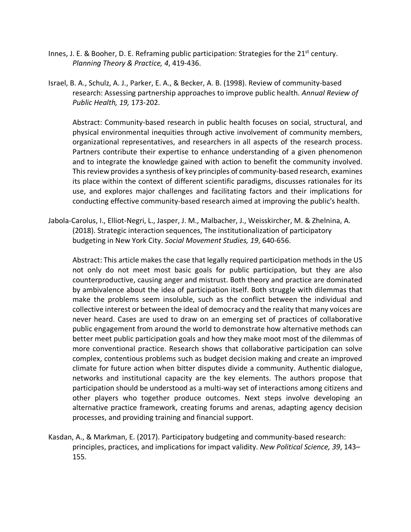- Innes, J. E. & Booher, D. E. Reframing public participation: Strategies for the  $21<sup>st</sup>$  century. *Planning Theory & Practice, 4*, 419-436.
- Israel, B. A., Schulz, A. J., Parker, E. A., & Becker, A. B. (1998). Review of community-based research: Assessing partnership approaches to improve public health. *Annual Review of Public Health, 19,* 173-202.

Abstract: Community-based research in public health focuses on social, structural, and physical environmental inequities through active involvement of community members, organizational representatives, and researchers in all aspects of the research process. Partners contribute their expertise to enhance understanding of a given phenomenon and to integrate the knowledge gained with action to benefit the community involved. This review provides a synthesis of key principles of community-based research, examines its place within the context of different scientific paradigms, discusses rationales for its use, and explores major challenges and facilitating factors and their implications for conducting effective community-based research aimed at improving the public's health.

Jabola-Carolus, I., Elliot-Negri, L., Jasper, J. M., Malbacher, J., Weisskircher, M. & Zhelnina, A. (2018). Strategic interaction sequences, The institutionalization of participatory budgeting in New York City. *Social Movement Studies, 19*, 640-656.

Abstract: This article makes the case that legally required participation methods in the US not only do not meet most basic goals for public participation, but they are also counterproductive, causing anger and mistrust. Both theory and practice are dominated by ambivalence about the idea of participation itself. Both struggle with dilemmas that make the problems seem insoluble, such as the conflict between the individual and collective interest or between the ideal of democracy and the reality that many voices are never heard. Cases are used to draw on an emerging set of practices of collaborative public engagement from around the world to demonstrate how alternative methods can better meet public participation goals and how they make moot most of the dilemmas of more conventional practice. Research shows that collaborative participation can solve complex, contentious problems such as budget decision making and create an improved climate for future action when bitter disputes divide a community. Authentic dialogue, networks and institutional capacity are the key elements. The authors propose that participation should be understood as a multi-way set of interactions among citizens and other players who together produce outcomes. Next steps involve developing an alternative practice framework, creating forums and arenas, adapting agency decision processes, and providing training and financial support.

Kasdan, A., & Markman, E. (2017). Participatory budgeting and community-based research: principles, practices, and implications for impact validity. *New Political Science, 39*, 143– 155.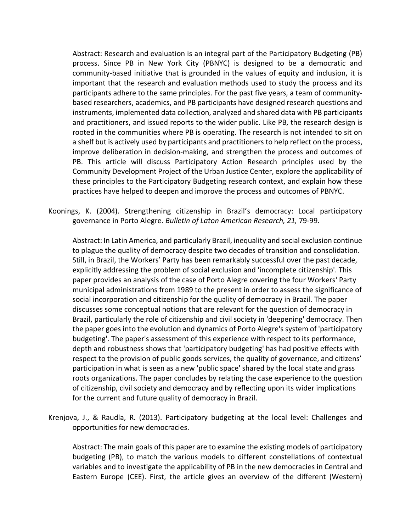Abstract: Research and evaluation is an integral part of the Participatory Budgeting (PB) process. Since PB in New York City (PBNYC) is designed to be a democratic and community-based initiative that is grounded in the values of equity and inclusion, it is important that the research and evaluation methods used to study the process and its participants adhere to the same principles. For the past five years, a team of communitybased researchers, academics, and PB participants have designed research questions and instruments, implemented data collection, analyzed and shared data with PB participants and practitioners, and issued reports to the wider public. Like PB, the research design is rooted in the communities where PB is operating. The research is not intended to sit on a shelf but is actively used by participants and practitioners to help reflect on the process, improve deliberation in decision-making, and strengthen the process and outcomes of PB. This article will discuss Participatory Action Research principles used by the Community Development Project of the Urban Justice Center, explore the applicability of these principles to the Participatory Budgeting research context, and explain how these practices have helped to deepen and improve the process and outcomes of PBNYC.

Koonings, K. (2004). Strengthening citizenship in Brazil's democracy: Local participatory governance in Porto Alegre. *Bulletin of Laton American Research, 21,* 79-99.

Abstract: In Latin America, and particularly Brazil, inequality and social exclusion continue to plague the quality of democracy despite two decades of transition and consolidation. Still, in Brazil, the Workers' Party has been remarkably successful over the past decade, explicitly addressing the problem of social exclusion and 'incomplete citizenship'. This paper provides an analysis of the case of Porto Alegre covering the four Workers' Party municipal administrations from 1989 to the present in order to assess the significance of social incorporation and citizenship for the quality of democracy in Brazil. The paper discusses some conceptual notions that are relevant for the question of democracy in Brazil, particularly the role of citizenship and civil society in 'deepening' democracy. Then the paper goes into the evolution and dynamics of Porto Alegre's system of 'participatory budgeting'. The paper's assessment of this experience with respect to its performance, depth and robustness shows that 'participatory budgeting' has had positive effects with respect to the provision of public goods services, the quality of governance, and citizens' participation in what is seen as a new 'public space' shared by the local state and grass roots organizations. The paper concludes by relating the case experience to the question of citizenship, civil society and democracy and by reflecting upon its wider implications for the current and future quality of democracy in Brazil.

Krenjova, J., & Raudla, R. (2013). Participatory budgeting at the local level: Challenges and opportunities for new democracies.

Abstract: The main goals of this paper are to examine the existing models of participatory budgeting (PB), to match the various models to different constellations of contextual variables and to investigate the applicability of PB in the new democracies in Central and Eastern Europe (CEE). First, the article gives an overview of the different (Western)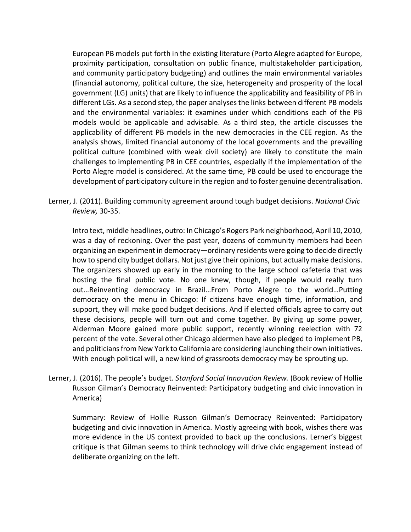European PB models put forth in the existing literature (Porto Alegre adapted for Europe, proximity participation, consultation on public finance, multistakeholder participation, and community participatory budgeting) and outlines the main environmental variables (financial autonomy, political culture, the size, heterogeneity and prosperity of the local government (LG) units) that are likely to influence the applicability and feasibility of PB in different LGs. As a second step, the paper analyses the links between different PB models and the environmental variables: it examines under which conditions each of the PB models would be applicable and advisable. As a third step, the article discusses the applicability of different PB models in the new democracies in the CEE region. As the analysis shows, limited financial autonomy of the local governments and the prevailing political culture (combined with weak civil society) are likely to constitute the main challenges to implementing PB in CEE countries, especially if the implementation of the Porto Alegre model is considered. At the same time, PB could be used to encourage the development of participatory culture in the region and to foster genuine decentralisation.

Lerner, J. (2011). Building community agreement around tough budget decisions. *National Civic Review,* 30-35.

Intro text, middle headlines, outro: In Chicago's Rogers Park neighborhood, April 10, 2010, was a day of reckoning. Over the past year, dozens of community members had been organizing an experiment in democracy—ordinary residents were going to decide directly how to spend city budget dollars. Not just give their opinions, but actually make decisions. The organizers showed up early in the morning to the large school cafeteria that was hosting the final public vote. No one knew, though, if people would really turn out…Reinventing democracy in Brazil…From Porto Alegre to the world…Putting democracy on the menu in Chicago: If citizens have enough time, information, and support, they will make good budget decisions. And if elected officials agree to carry out these decisions, people will turn out and come together. By giving up some power, Alderman Moore gained more public support, recently winning reelection with 72 percent of the vote. Several other Chicago aldermen have also pledged to implement PB, and politicians from New York to California are considering launching their own initiatives. With enough political will, a new kind of grassroots democracy may be sprouting up.

Lerner, J. (2016). The people's budget. *Stanford Social Innovation Review.* (Book review of Hollie Russon Gilman's Democracy Reinvented: Participatory budgeting and civic innovation in America)

Summary: Review of Hollie Russon Gilman's Democracy Reinvented: Participatory budgeting and civic innovation in America. Mostly agreeing with book, wishes there was more evidence in the US context provided to back up the conclusions. Lerner's biggest critique is that Gilman seems to think technology will drive civic engagement instead of deliberate organizing on the left.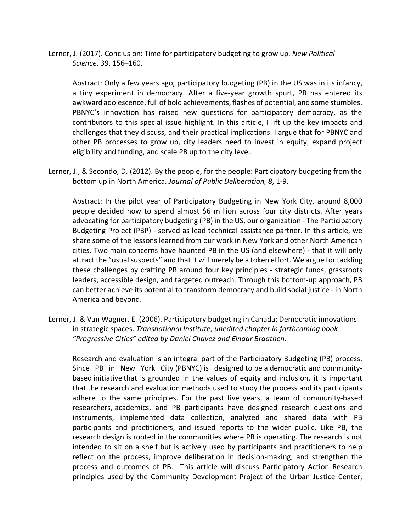Lerner, J. (2017). Conclusion: Time for participatory budgeting to grow up. *New Political Science*, 39, 156–160.

Abstract: Only a few years ago, participatory budgeting (PB) in the US was in its infancy, a tiny experiment in democracy. After a five-year growth spurt, PB has entered its awkward adolescence, full of bold achievements, flashes of potential, and some stumbles. PBNYC's innovation has raised new questions for participatory democracy, as the contributors to this special issue highlight. In this article, I lift up the key impacts and challenges that they discuss, and their practical implications. I argue that for PBNYC and other PB processes to grow up, city leaders need to invest in equity, expand project eligibility and funding, and scale PB up to the city level.

Lerner, J., & Secondo, D. (2012). By the people, for the people: Participatory budgeting from the bottom up in North America. *Journal of Public Deliberation, 8*, 1-9.

Abstract: In the pilot year of Participatory Budgeting in New York City, around 8,000 people decided how to spend almost \$6 million across four city districts. After years advocating for participatory budgeting (PB) in the US, our organization - The Participatory Budgeting Project (PBP) - served as lead technical assistance partner. In this article, we share some of the lessons learned from our work in New York and other North American cities. Two main concerns have haunted PB in the US (and elsewhere) - that it will only attract the "usual suspects" and that it will merely be a token effort. We argue for tackling these challenges by crafting PB around four key principles - strategic funds, grassroots leaders, accessible design, and targeted outreach. Through this bottom-up approach, PB can better achieve its potential to transform democracy and build social justice - in North America and beyond.

Lerner, J. & Van Wagner, E. (2006). Participatory budgeting in Canada: Democratic innovations in strategic spaces. *Transnational Institute; unedited chapter in forthcoming book "Progressive Cities" edited by Daniel Chavez and Einaar Braathen.* 

Research and evaluation is an integral part of the Participatory Budgeting (PB) process. Since PB in New York City (PBNYC) is designed to be a democratic and communitybased initiative that is grounded in the values of equity and inclusion, it is important that the research and evaluation methods used to study the process and its participants adhere to the same principles. For the past five years, a team of community-based researchers, academics, and PB participants have designed research questions and instruments, implemented data collection, analyzed and shared data with PB participants and practitioners, and issued reports to the wider public. Like PB, the research design is rooted in the communities where PB is operating. The research is not intended to sit on a shelf but is actively used by participants and practitioners to help reflect on the process, improve deliberation in decision-making, and strengthen the process and outcomes of PB. This article will discuss Participatory Action Research principles used by the Community Development Project of the Urban Justice Center,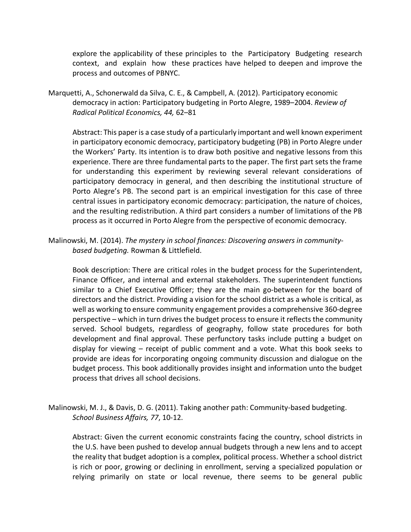explore the applicability of these principles to the Participatory Budgeting research context, and explain how these practices have helped to deepen and improve the process and outcomes of PBNYC.

Marquetti, A., Schonerwald da Silva, C. E., & Campbell, A. (2012). Participatory economic democracy in action: Participatory budgeting in Porto Alegre, 1989–2004. *Review of Radical Political Economics, 44,* 62–81

Abstract: This paper is a case study of a particularly important and well known experiment in participatory economic democracy, participatory budgeting (PB) in Porto Alegre under the Workers' Party. Its intention is to draw both positive and negative lessons from this experience. There are three fundamental parts to the paper. The first part sets the frame for understanding this experiment by reviewing several relevant considerations of participatory democracy in general, and then describing the institutional structure of Porto Alegre's PB. The second part is an empirical investigation for this case of three central issues in participatory economic democracy: participation, the nature of choices, and the resulting redistribution. A third part considers a number of limitations of the PB process as it occurred in Porto Alegre from the perspective of economic democracy.

Malinowski, M. (2014). *The mystery in school finances: Discovering answers in communitybased budgeting.* Rowman & Littlefield.

Book description: There are critical roles in the budget process for the Superintendent, Finance Officer, and internal and external stakeholders. The superintendent functions similar to a Chief Executive Officer; they are the main go-between for the board of directors and the district. Providing a vision for the school district as a whole is critical, as well as working to ensure community engagement provides a comprehensive 360-degree perspective – which in turn drives the budget process to ensure it reflects the community served. School budgets, regardless of geography, follow state procedures for both development and final approval. These perfunctory tasks include putting a budget on display for viewing – receipt of public comment and a vote. What this book seeks to provide are ideas for incorporating ongoing community discussion and dialogue on the budget process. This book additionally provides insight and information unto the budget process that drives all school decisions.

Malinowski, M. J., & Davis, D. G. (2011). Taking another path: Community-based budgeting. *School Business Affairs, 77*, 10-12.

Abstract: Given the current economic constraints facing the country, school districts in the U.S. have been pushed to develop annual budgets through a new lens and to accept the reality that budget adoption is a complex, political process. Whether a school district is rich or poor, growing or declining in enrollment, serving a specialized population or relying primarily on state or local revenue, there seems to be general public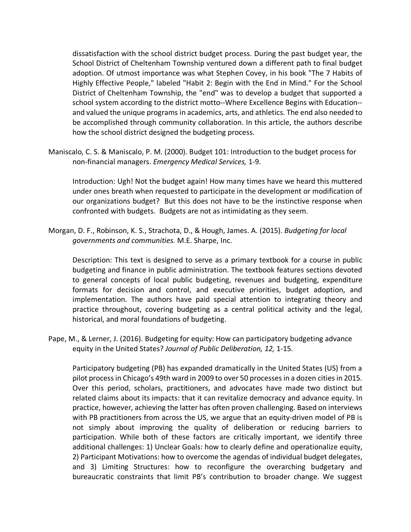dissatisfaction with the school district budget process. During the past budget year, the School District of Cheltenham Township ventured down a different path to final budget adoption. Of utmost importance was what Stephen Covey, in his book "The 7 Habits of Highly Effective People," labeled "Habit 2: Begin with the End in Mind." For the School District of Cheltenham Township, the "end" was to develop a budget that supported a school system according to the district motto--Where Excellence Begins with Education- and valued the unique programs in academics, arts, and athletics. The end also needed to be accomplished through community collaboration. In this article, the authors describe how the school district designed the budgeting process.

Maniscalo, C. S. & Maniscalo, P. M. (2000). Budget 101: Introduction to the budget process for non-financial managers. *Emergency Medical Services,* 1-9.

Introduction: Ugh! Not the budget again! How many times have we heard this muttered under ones breath when requested to participate in the development or modification of our organizations budget? But this does not have to be the instinctive response when confronted with budgets. Budgets are not as intimidating as they seem.

Morgan, D. F., Robinson, K. S., Strachota, D., & Hough, James. A. (2015). *Budgeting for local governments and communities.* M.E. Sharpe, Inc.

Description: This text is designed to serve as a primary textbook for a course in public budgeting and finance in public administration. The textbook features sections devoted to general concepts of local public budgeting, revenues and budgeting, expenditure formats for decision and control, and executive priorities, budget adoption, and implementation. The authors have paid special attention to integrating theory and practice throughout, covering budgeting as a central political activity and the legal, historical, and moral foundations of budgeting.

Pape, M., & Lerner, J. (2016). Budgeting for equity: How can participatory budgeting advance equity in the United States? *Journal of Public Deliberation, 12,* 1-15.

Participatory budgeting (PB) has expanded dramatically in the United States (US) from a pilot process in Chicago's 49th ward in 2009 to over 50 processes in a dozen cities in 2015. Over this period, scholars, practitioners, and advocates have made two distinct but related claims about its impacts: that it can revitalize democracy and advance equity. In practice, however, achieving the latter has often proven challenging. Based on interviews with PB practitioners from across the US, we argue that an equity-driven model of PB is not simply about improving the quality of deliberation or reducing barriers to participation. While both of these factors are critically important, we identify three additional challenges: 1) Unclear Goals: how to clearly define and operationalize equity, 2) Participant Motivations: how to overcome the agendas of individual budget delegates, and 3) Limiting Structures: how to reconfigure the overarching budgetary and bureaucratic constraints that limit PB's contribution to broader change. We suggest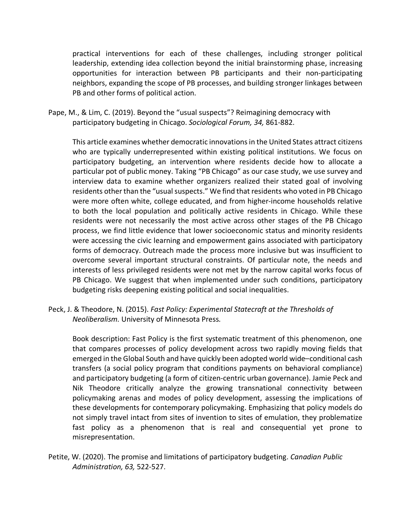practical interventions for each of these challenges, including stronger political leadership, extending idea collection beyond the initial brainstorming phase, increasing opportunities for interaction between PB participants and their non-participating neighbors, expanding the scope of PB processes, and building stronger linkages between PB and other forms of political action.

Pape, M., & Lim, C. (2019). Beyond the "usual suspects"? Reimagining democracy with participatory budgeting in Chicago. *Sociological Forum, 34,* 861-882.

This article examines whether democratic innovations in the United States attract citizens who are typically underrepresented within existing political institutions. We focus on participatory budgeting, an intervention where residents decide how to allocate a particular pot of public money. Taking "PB Chicago" as our case study, we use survey and interview data to examine whether organizers realized their stated goal of involving residents other than the "usual suspects." We find that residents who voted in PB Chicago were more often white, college educated, and from higher-income households relative to both the local population and politically active residents in Chicago. While these residents were not necessarily the most active across other stages of the PB Chicago process, we find little evidence that lower socioeconomic status and minority residents were accessing the civic learning and empowerment gains associated with participatory forms of democracy. Outreach made the process more inclusive but was insufficient to overcome several important structural constraints. Of particular note, the needs and interests of less privileged residents were not met by the narrow capital works focus of PB Chicago. We suggest that when implemented under such conditions, participatory budgeting risks deepening existing political and social inequalities.

Peck, J. & Theodore, N. (2015). *Fast Policy: Experimental Statecraft at the Thresholds of Neoliberalism.* University of Minnesota Press*.* 

Book description: Fast Policy is the first systematic treatment of this phenomenon, one that compares processes of policy development across two rapidly moving fields that emerged in the Global South and have quickly been adopted world wide–conditional cash transfers (a social policy program that conditions payments on behavioral compliance) and participatory budgeting (a form of citizen-centric urban governance). Jamie Peck and Nik Theodore critically analyze the growing transnational connectivity between policymaking arenas and modes of policy development, assessing the implications of these developments for contemporary policymaking. Emphasizing that policy models do not simply travel intact from sites of invention to sites of emulation, they problematize fast policy as a phenomenon that is real and consequential yet prone to misrepresentation.

Petite, W. (2020). The promise and limitations of participatory budgeting. *Canadian Public Administration, 63,* 522-527.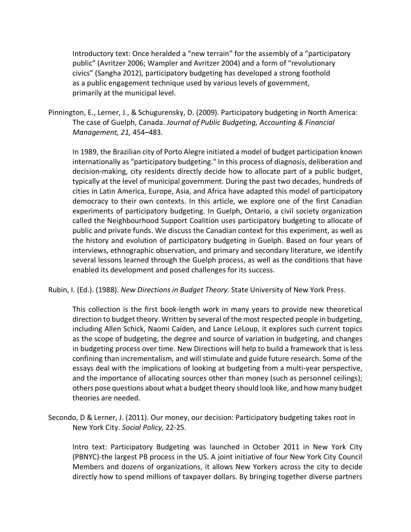Introductory text: Once heralded a "new terrain" for the assembly of a "participatory public" (Avritzer 2006; Wampler and Avritzer 2004) and a form of "revolutionary civics" (Sangha 2012), participatory budgeting has developed a strong foothold as a public engagement technique used by various levels of government, primarily at the municipal level.

Pinnington, E., Lerner, J., & Schugurensky, D. (2009). Participatory budgeting in North America: The case of Guelph, Canada. *Journal of Public Budgeting, Accounting & Financial Management, 21,* 454–483.

In 1989, the Brazilian city of Porto Alegre initiated a model of budget participation known internationally as "participatory budgeting." In this process of diagnosis, deliberation and decision-making, city residents directly decide how to allocate part of a public budget, typically at the level of municipal government. During the past two decades, hundreds of cities in Latin America, Europe, Asia, and Africa have adapted this model of participatory democracy to their own contexts. In this article, we explore one of the first Canadian experiments of participatory budgeting. In Guelph, Ontario, a civil society organization called the Neighbourhood Support Coalition uses participatory budgeting to allocate of public and private funds. We discuss the Canadian context for this experiment, as well as the history and evolution of participatory budgeting in Guelph. Based on four years of interviews, ethnographic observation, and primary and secondary literature, we identify several lessons learned through the Guelph process, as well as the conditions that have enabled its development and posed challenges for its success.

Rubin, I. (Ed.). (1988). *New Directions in Budget Theory.* State University of New York Press.

This collection is the first book-length work in many years to provide new theoretical direction to budget theory. Written by several of the most respected people in budgeting, including Allen Schick, Naomi Caiden, and Lance LeLoup, it explores such current topics as the scope of budgeting, the degree and source of variation in budgeting, and changes in budgeting process over time. New Directions will help to build a framework that is less confining than incrementalism, and will stimulate and guide future research. Some of the essays deal with the implications of looking at budgeting from a multi-year perspective, and the importance of allocating sources other than money (such as personnel ceilings); others pose questions about what a budget theory should look like, and how many budget theories are needed.

Secondo, D & Lerner, J. (2011). Our money, our decision: Participatory budgeting takes root in New York City. *Social Policy,* 22-25.

Intro text: Participatory Budgeting was launched in October 2011 in New York City (PBNYC)-the largest PB process in the US. A joint initiative of four New York City Council Members and dozens of organizations, it allows New Yorkers across the city to decide directly how to spend millions of taxpayer dollars. By bringing together diverse partners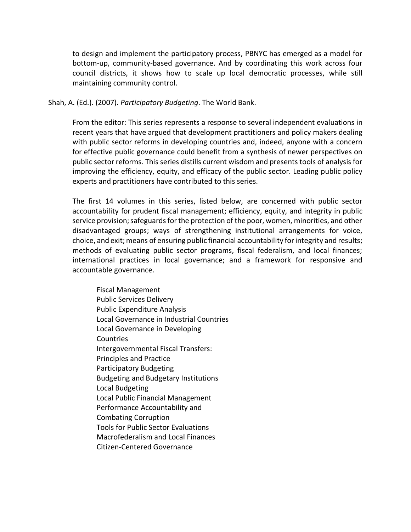to design and implement the participatory process, PBNYC has emerged as a model for bottom-up, community-based governance. And by coordinating this work across four council districts, it shows how to scale up local democratic processes, while still maintaining community control.

Shah, A. (Ed.). (2007). *Participatory Budgeting*. The World Bank.

From the editor: This series represents a response to several independent evaluations in recent years that have argued that development practitioners and policy makers dealing with public sector reforms in developing countries and, indeed, anyone with a concern for effective public governance could benefit from a synthesis of newer perspectives on public sector reforms. This series distills current wisdom and presents tools of analysis for improving the efficiency, equity, and efficacy of the public sector. Leading public policy experts and practitioners have contributed to this series.

The first 14 volumes in this series, listed below, are concerned with public sector accountability for prudent fiscal management; efficiency, equity, and integrity in public service provision; safeguards for the protection of the poor, women, minorities, and other disadvantaged groups; ways of strengthening institutional arrangements for voice, choice, and exit; means of ensuring public financial accountability for integrity and results; methods of evaluating public sector programs, fiscal federalism, and local finances; international practices in local governance; and a framework for responsive and accountable governance.

Fiscal Management Public Services Delivery Public Expenditure Analysis Local Governance in Industrial Countries Local Governance in Developing **Countries** Intergovernmental Fiscal Transfers: Principles and Practice Participatory Budgeting Budgeting and Budgetary Institutions Local Budgeting Local Public Financial Management Performance Accountability and Combating Corruption Tools for Public Sector Evaluations Macrofederalism and Local Finances Citizen-Centered Governance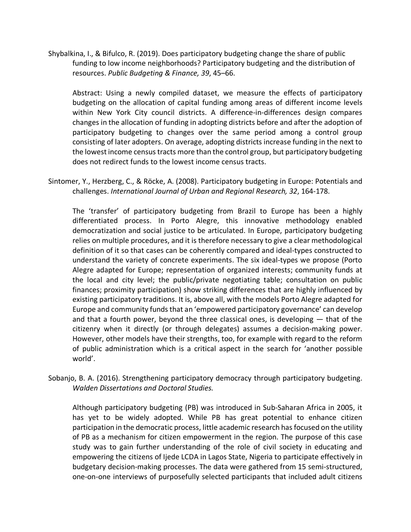Shybalkina, I., & Bifulco, R. (2019). Does participatory budgeting change the share of public funding to low income neighborhoods? Participatory budgeting and the distribution of resources. *Public Budgeting & Finance, 39*, 45–66.

Abstract: Using a newly compiled dataset, we measure the effects of participatory budgeting on the allocation of capital funding among areas of different income levels within New York City council districts. A difference-in-differences design compares changes in the allocation of funding in adopting districts before and after the adoption of participatory budgeting to changes over the same period among a control group consisting of later adopters. On average, adopting districts increase funding in the next to the lowest income census tracts more than the control group, but participatory budgeting does not redirect funds to the lowest income census tracts.

Sintomer, Y., Herzberg, C., & Röcke, A. (2008). Participatory budgeting in Europe: Potentials and challenges. *International Journal of Urban and Regional Research, 32*, 164-178.

The 'transfer' of participatory budgeting from Brazil to Europe has been a highly differentiated process. In Porto Alegre, this innovative methodology enabled democratization and social justice to be articulated. In Europe, participatory budgeting relies on multiple procedures, and it is therefore necessary to give a clear methodological definition of it so that cases can be coherently compared and ideal-types constructed to understand the variety of concrete experiments. The six ideal-types we propose (Porto Alegre adapted for Europe; representation of organized interests; community funds at the local and city level; the public/private negotiating table; consultation on public finances; proximity participation) show striking differences that are highly influenced by existing participatory traditions. It is, above all, with the models Porto Alegre adapted for Europe and community funds that an 'empowered participatory governance' can develop and that a fourth power, beyond the three classical ones, is developing — that of the citizenry when it directly (or through delegates) assumes a decision-making power. However, other models have their strengths, too, for example with regard to the reform of public administration which is a critical aspect in the search for 'another possible world'.

Sobanjo, B. A. (2016). Strengthening participatory democracy through participatory budgeting. *Walden Dissertations and Doctoral Studies.*

Although participatory budgeting (PB) was introduced in Sub-Saharan Africa in 2005, it has yet to be widely adopted. While PB has great potential to enhance citizen participation in the democratic process, little academic research has focused on the utility of PB as a mechanism for citizen empowerment in the region. The purpose of this case study was to gain further understanding of the role of civil society in educating and empowering the citizens of Ijede LCDA in Lagos State, Nigeria to participate effectively in budgetary decision-making processes. The data were gathered from 15 semi-structured, one-on-one interviews of purposefully selected participants that included adult citizens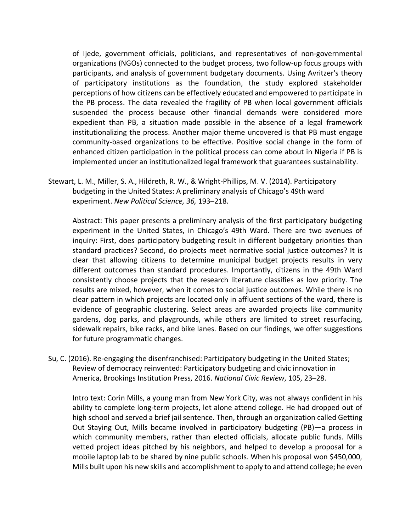of Ijede, government officials, politicians, and representatives of non-governmental organizations (NGOs) connected to the budget process, two follow-up focus groups with participants, and analysis of government budgetary documents. Using Avritzer's theory of participatory institutions as the foundation, the study explored stakeholder perceptions of how citizens can be effectively educated and empowered to participate in the PB process. The data revealed the fragility of PB when local government officials suspended the process because other financial demands were considered more expedient than PB, a situation made possible in the absence of a legal framework institutionalizing the process. Another major theme uncovered is that PB must engage community-based organizations to be effective. Positive social change in the form of enhanced citizen participation in the political process can come about in Nigeria if PB is implemented under an institutionalized legal framework that guarantees sustainability.

Stewart, L. M., Miller, S. A., Hildreth, R. W., & Wright-Phillips, M. V. (2014). Participatory budgeting in the United States: A preliminary analysis of Chicago's 49th ward experiment. *New Political Science, 36,* 193–218.

Abstract: This paper presents a preliminary analysis of the first participatory budgeting experiment in the United States, in Chicago's 49th Ward. There are two avenues of inquiry: First, does participatory budgeting result in different budgetary priorities than standard practices? Second, do projects meet normative social justice outcomes? It is clear that allowing citizens to determine municipal budget projects results in very different outcomes than standard procedures. Importantly, citizens in the 49th Ward consistently choose projects that the research literature classifies as low priority. The results are mixed, however, when it comes to social justice outcomes. While there is no clear pattern in which projects are located only in affluent sections of the ward, there is evidence of geographic clustering. Select areas are awarded projects like community gardens, dog parks, and playgrounds, while others are limited to street resurfacing, sidewalk repairs, bike racks, and bike lanes. Based on our findings, we offer suggestions for future programmatic changes.

Su, C. (2016). Re-engaging the disenfranchised: Participatory budgeting in the United States; Review of democracy reinvented: Participatory budgeting and civic innovation in America, Brookings Institution Press, 2016. *National Civic Review*, 105, 23–28.

Intro text: Corin Mills, a young man from New York City, was not always confident in his ability to complete long-term projects, let alone attend college. He had dropped out of high school and served a brief jail sentence. Then, through an organization called Getting Out Staying Out, Mills became involved in participatory budgeting (PB)—a process in which community members, rather than elected officials, allocate public funds. Mills vetted project ideas pitched by his neighbors, and helped to develop a proposal for a mobile laptop lab to be shared by nine public schools. When his proposal won \$450,000, Mills built upon his new skills and accomplishment to apply to and attend college; he even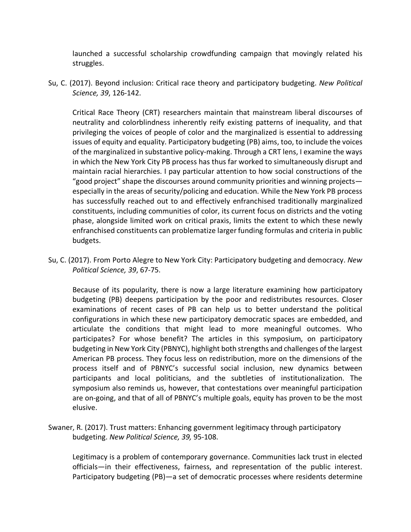launched a successful scholarship crowdfunding campaign that movingly related his struggles.

Su, C. (2017). Beyond inclusion: Critical race theory and participatory budgeting. *New Political Science, 39*, 126-142.

Critical Race Theory (CRT) researchers maintain that mainstream liberal discourses of neutrality and colorblindness inherently reify existing patterns of inequality, and that privileging the voices of people of color and the marginalized is essential to addressing issues of equity and equality. Participatory budgeting (PB) aims, too, to include the voices of the marginalized in substantive policy-making. Through a CRT lens, I examine the ways in which the New York City PB process has thus far worked to simultaneously disrupt and maintain racial hierarchies. I pay particular attention to how social constructions of the "good project" shape the discourses around community priorities and winning projects especially in the areas of security/policing and education. While the New York PB process has successfully reached out to and effectively enfranchised traditionally marginalized constituents, including communities of color, its current focus on districts and the voting phase, alongside limited work on critical praxis, limits the extent to which these newly enfranchised constituents can problematize larger funding formulas and criteria in public budgets.

Su, C. (2017). From Porto Alegre to New York City: Participatory budgeting and democracy. *New Political Science, 39*, 67-75.

Because of its popularity, there is now a large literature examining how participatory budgeting (PB) deepens participation by the poor and redistributes resources. Closer examinations of recent cases of PB can help us to better understand the political configurations in which these new participatory democratic spaces are embedded, and articulate the conditions that might lead to more meaningful outcomes. Who participates? For whose benefit? The articles in this symposium, on participatory budgeting in New York City (PBNYC), highlight both strengths and challenges of the largest American PB process. They focus less on redistribution, more on the dimensions of the process itself and of PBNYC's successful social inclusion, new dynamics between participants and local politicians, and the subtleties of institutionalization. The symposium also reminds us, however, that contestations over meaningful participation are on-going, and that of all of PBNYC's multiple goals, equity has proven to be the most elusive.

Swaner, R. (2017). Trust matters: Enhancing government legitimacy through participatory budgeting. *New Political Science, 39,* 95-108.

Legitimacy is a problem of contemporary governance. Communities lack trust in elected officials—in their effectiveness, fairness, and representation of the public interest. Participatory budgeting (PB)—a set of democratic processes where residents determine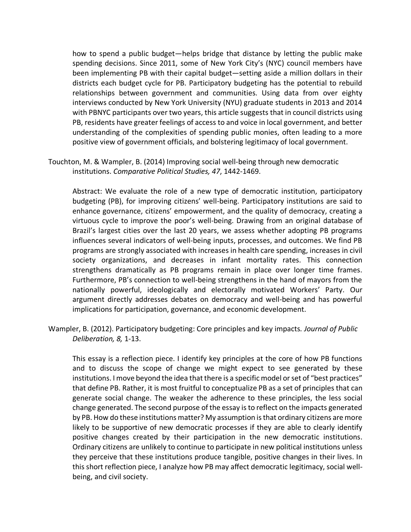how to spend a public budget—helps bridge that distance by letting the public make spending decisions. Since 2011, some of New York City's (NYC) council members have been implementing PB with their capital budget—setting aside a million dollars in their districts each budget cycle for PB. Participatory budgeting has the potential to rebuild relationships between government and communities. Using data from over eighty interviews conducted by New York University (NYU) graduate students in 2013 and 2014 with PBNYC participants over two years, this article suggests that in council districts using PB, residents have greater feelings of access to and voice in local government, and better understanding of the complexities of spending public monies, often leading to a more positive view of government officials, and bolstering legitimacy of local government.

Touchton, M. & Wampler, B. (2014) Improving social well-being through new democratic institutions. *Comparative Political Studies, 47*, 1442-1469.

Abstract: We evaluate the role of a new type of democratic institution, participatory budgeting (PB), for improving citizens' well-being. Participatory institutions are said to enhance governance, citizens' empowerment, and the quality of democracy, creating a virtuous cycle to improve the poor's well-being. Drawing from an original database of Brazil's largest cities over the last 20 years, we assess whether adopting PB programs influences several indicators of well-being inputs, processes, and outcomes. We find PB programs are strongly associated with increases in health care spending, increases in civil society organizations, and decreases in infant mortality rates. This connection strengthens dramatically as PB programs remain in place over longer time frames. Furthermore, PB's connection to well-being strengthens in the hand of mayors from the nationally powerful, ideologically and electorally motivated Workers' Party. Our argument directly addresses debates on democracy and well-being and has powerful implications for participation, governance, and economic development.

Wampler, B. (2012). Participatory budgeting: Core principles and key impacts*. Journal of Public Deliberation, 8,* 1-13.

This essay is a reflection piece. I identify key principles at the core of how PB functions and to discuss the scope of change we might expect to see generated by these institutions. I move beyond the idea that there is a specific model or set of "best practices" that define PB. Rather, it is most fruitful to conceptualize PB as a set of principles that can generate social change. The weaker the adherence to these principles, the less social change generated. The second purpose of the essay is to reflect on the impacts generated by PB. How do these institutions matter? My assumption is that ordinary citizens are more likely to be supportive of new democratic processes if they are able to clearly identify positive changes created by their participation in the new democratic institutions. Ordinary citizens are unlikely to continue to participate in new political institutions unless they perceive that these institutions produce tangible, positive changes in their lives. In this short reflection piece, I analyze how PB may affect democratic legitimacy, social wellbeing, and civil society.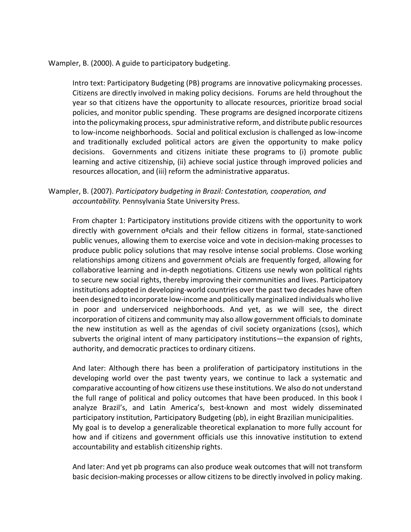Wampler, B. (2000). A guide to participatory budgeting.

Intro text: Participatory Budgeting (PB) programs are innovative policymaking processes. Citizens are directly involved in making policy decisions. Forums are held throughout the year so that citizens have the opportunity to allocate resources, prioritize broad social policies, and monitor public spending. These programs are designed incorporate citizens into the policymaking process, spur administrative reform, and distribute public resources to low-income neighborhoods. Social and political exclusion is challenged as low-income and traditionally excluded political actors are given the opportunity to make policy decisions. Governments and citizens initiate these programs to (i) promote public learning and active citizenship, (ii) achieve social justice through improved policies and resources allocation, and (iii) reform the administrative apparatus.

## Wampler, B. (2007). *Participatory budgeting in Brazil: Contestation, cooperation, and accountability.* Pennsylvania State University Press.

From chapter 1: Participatory institutions provide citizens with the opportunity to work directly with government oªcials and their fellow citizens in formal, state-sanctioned public venues, allowing them to exercise voice and vote in decision-making processes to produce public policy solutions that may resolve intense social problems. Close working relationships among citizens and government oªcials are frequently forged, allowing for collaborative learning and in-depth negotiations. Citizens use newly won political rights to secure new social rights, thereby improving their communities and lives. Participatory institutions adopted in developing-world countries over the past two decades have often been designed to incorporate low-income and politically marginalized individuals who live in poor and underserviced neighborhoods. And yet, as we will see, the direct incorporation of citizens and community may also allow government officials to dominate the new institution as well as the agendas of civil society organizations (csos), which subverts the original intent of many participatory institutions—the expansion of rights, authority, and democratic practices to ordinary citizens.

And later: Although there has been a proliferation of participatory institutions in the developing world over the past twenty years, we continue to lack a systematic and comparative accounting of how citizens use these institutions. We also do not understand the full range of political and policy outcomes that have been produced. In this book I analyze Brazil's, and Latin America's, best-known and most widely disseminated participatory institution, Participatory Budgeting (pb), in eight Brazilian municipalities. My goal is to develop a generalizable theoretical explanation to more fully account for how and if citizens and government officials use this innovative institution to extend accountability and establish citizenship rights.

And later: And yet pb programs can also produce weak outcomes that will not transform basic decision-making processes or allow citizens to be directly involved in policy making.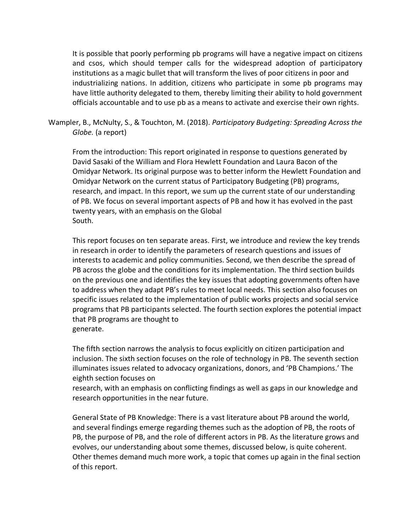It is possible that poorly performing pb programs will have a negative impact on citizens and csos, which should temper calls for the widespread adoption of participatory institutions as a magic bullet that will transform the lives of poor citizens in poor and industrializing nations. In addition, citizens who participate in some pb programs may have little authority delegated to them, thereby limiting their ability to hold government officials accountable and to use pb as a means to activate and exercise their own rights.

Wampler, B., McNulty, S., & Touchton, M. (2018). *Participatory Budgeting: Spreading Across the Globe.* (a report)

From the introduction: This report originated in response to questions generated by David Sasaki of the William and Flora Hewlett Foundation and Laura Bacon of the Omidyar Network. Its original purpose was to better inform the Hewlett Foundation and Omidyar Network on the current status of Participatory Budgeting (PB) programs, research, and impact. In this report, we sum up the current state of our understanding of PB. We focus on several important aspects of PB and how it has evolved in the past twenty years, with an emphasis on the Global South.

This report focuses on ten separate areas. First, we introduce and review the key trends in research in order to identify the parameters of research questions and issues of interests to academic and policy communities. Second, we then describe the spread of PB across the globe and the conditions for its implementation. The third section builds on the previous one and identifies the key issues that adopting governments often have to address when they adapt PB's rules to meet local needs. This section also focuses on specific issues related to the implementation of public works projects and social service programs that PB participants selected. The fourth section explores the potential impact that PB programs are thought to generate.

The fifth section narrows the analysis to focus explicitly on citizen participation and inclusion. The sixth section focuses on the role of technology in PB. The seventh section illuminates issues related to advocacy organizations, donors, and 'PB Champions.' The eighth section focuses on

research, with an emphasis on conflicting findings as well as gaps in our knowledge and research opportunities in the near future.

General State of PB Knowledge: There is a vast literature about PB around the world, and several findings emerge regarding themes such as the adoption of PB, the roots of PB, the purpose of PB, and the role of different actors in PB. As the literature grows and evolves, our understanding about some themes, discussed below, is quite coherent. Other themes demand much more work, a topic that comes up again in the final section of this report.